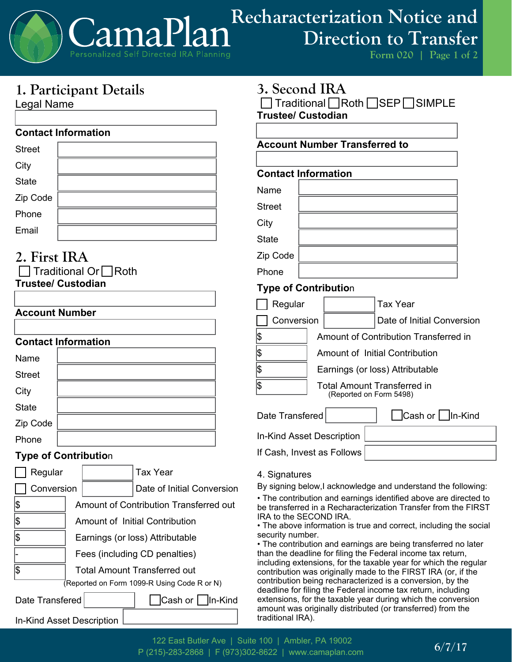

## **1. Participant Details**

Legal Name

### **Contact Information**

| <b>Street</b> |  |
|---------------|--|
| City          |  |
| <b>State</b>  |  |
| Zip Code      |  |
| Phone         |  |
| Email         |  |

# **2. First IRA**

| $\Box$ Traditional Or $\Box$ Roth |  |  |  |  |
|-----------------------------------|--|--|--|--|
| <b>Trustee/ Custodian</b>         |  |  |  |  |

### **Account Number**

### **Contact Information**

| Name          |  |
|---------------|--|
| <b>Street</b> |  |
| City          |  |
| <b>State</b>  |  |
| Zip Code      |  |
| Phone         |  |

### **Type of Contributio**n

| Regular                                     |                                        | Tax Year                   |  |  |
|---------------------------------------------|----------------------------------------|----------------------------|--|--|
| Conversion                                  |                                        | Date of Initial Conversion |  |  |
| \$                                          | Amount of Contribution Transferred out |                            |  |  |
| \$                                          | Amount of Initial Contribution         |                            |  |  |
| \$                                          | Earnings (or loss) Attributable        |                            |  |  |
|                                             | Fees (including CD penalties)          |                            |  |  |
| 1\$                                         | <b>Total Amount Transferred out</b>    |                            |  |  |
| (Reported on Form 1099-R Using Code R or N) |                                        |                            |  |  |
| Date Transfered                             |                                        | Cash or Un-Kind            |  |  |
| <b>In-Kind Asset Description</b>            |                                        |                            |  |  |

### **3. Second IRA**

**□ Traditional ■ Roth ■ SEP SIMPLE Trustee/ Custodian**

### **Account Number Transferred to**

### **Contact Information**

| Name          |  |
|---------------|--|
| <b>Street</b> |  |
| City          |  |
| <b>State</b>  |  |
| Zip Code      |  |
| Phone         |  |

### **Type of Contributio**n

| Regular    |                                       |                                                        | Tax Year                   |
|------------|---------------------------------------|--------------------------------------------------------|----------------------------|
| Conversion |                                       |                                                        | Date of Initial Conversion |
|            | Amount of Contribution Transferred in |                                                        |                            |
|            | <b>Amount of Initial Contribution</b> |                                                        |                            |
|            | Earnings (or loss) Attributable       |                                                        |                            |
|            |                                       | Total Amount Transferred in<br>(Reported on Form 5498) |                            |

Date Transfered **Cash or** In-Kind

In-Kind Asset Description

If Cash, Invest as Follows

### 4. Signatures

By signing below,I acknowledge and understand the following:

• The contribution and earnings identified above are directed to be transferred in a Recharacterization Transfer from the FIRST IRA to the SECOND IRA.

• The above information is true and correct, including the social security number.

• The contribution and earnings are being transferred no later than the deadline for filing the Federal income tax return, including extensions, for the taxable year for which the regular contribution was originally made to the FIRST IRA (or, if the contribution being recharacterized is a conversion, by the deadline for filing the Federal income tax return, including extensions, for the taxable year during which the conversion amount was originally distributed (or transferred) from the traditional IRA).

**6/7/17** 122 East Butler Ave | Suite 100 | Ambler, PA 19002 P (215)-283-2868 | F (973)302-8622 | www.camaplan.com